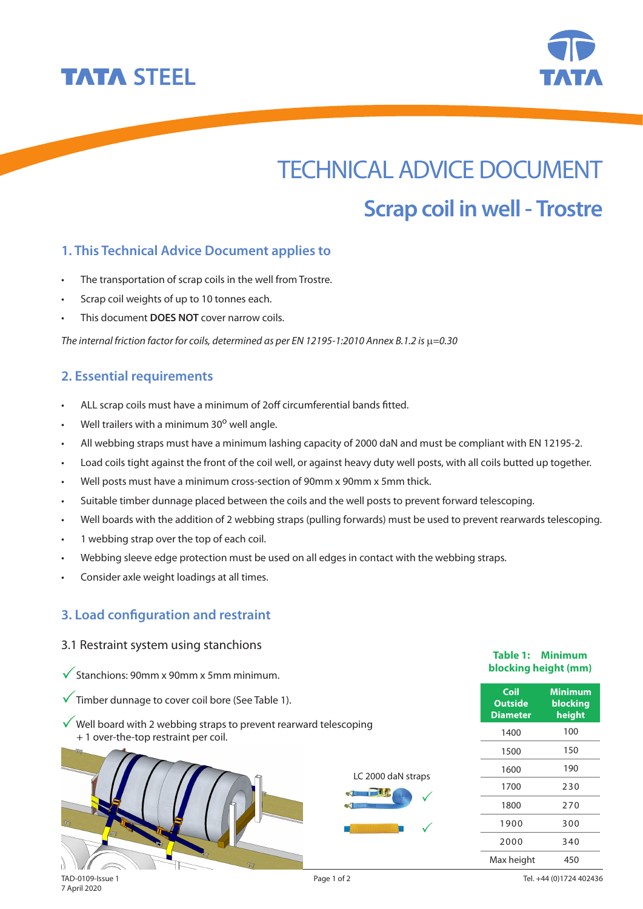



# TECHNICAL ADVICE DOCUMENT **Scrap coil in well - Trostre**

## **1. This Technical Advice Document applies to**

- • The transportation of scrap coils in the well from Trostre.
- • Scrap coil weights of up to 10 tonnes each.
- This document **DOES NOT** cover narrow coils.

*The internal friction factor for coils, determined as per EN 12195-1:2010 Annex B.1.2 is*  $\mu$ *=0.30* 

### **2. Essential requirements**

- ALL scrap coils must have a minimum of 2off circumferential bands fitted.
- Well trailers with a minimum  $30^{\circ}$  well angle.
- • All webbing straps must have a minimum lashing capacity of 2000 daN and must be compliant with EN 12195-2.
- Load coils tight against the front of the coil well, or against heavy duty well posts, with all coils butted up together.
- Well posts must have a minimum cross-section of 90mm x 90mm x 5mm thick.
- Suitable timber dunnage placed between the coils and the well posts to prevent forward telescoping.
- Well boards with the addition of 2 webbing straps (pulling forwards) must be used to prevent rearwards telescoping.
- • 1 webbing strap over the top of each coil.
- Webbing sleeve edge protection must be used on all edges in contact with the webbing straps.
- Consider axle weight loadings at all times.

### **3. Load configuration and restraint**

#### 3.1 Restraint system using stanchions

- $\checkmark$  Stanchions: 90mm x 90mm x 5mm minimum.
- $\sqrt{\ }$  Timber dunnage to cover coil bore (See Table 1).
- $\sqrt{\ }$  Well board with 2 webbing straps to prevent rearward telescoping + 1 over-the-top restraint per coil.



#### **Table 1: Minimum blocking height (mm)**

| Coil<br><b>Outside</b><br><b>Diameter</b> | <b>Minimum</b><br>blocking<br>height |
|-------------------------------------------|--------------------------------------|
| 1400                                      | 100                                  |
| 1500                                      | 150                                  |
| 1600                                      | 190                                  |
| 1700                                      | 230                                  |
| 1800                                      | 270                                  |
| 1900                                      | 300                                  |
| 2000                                      | 340                                  |
| Max height                                | 450                                  |